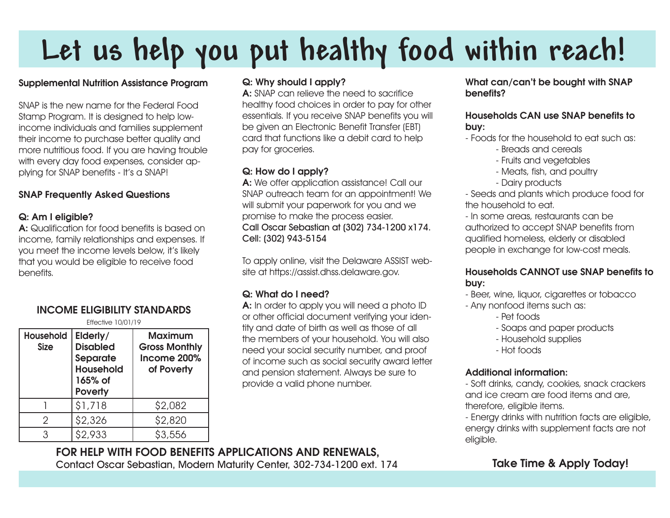# **Let us help you put healthy food within reach!**

# Supplemental Nutrition Assistance Program

SNAP is the new name for the Federal Food Stamp Program. It is designed to help lowincome individuals and families supplement their income to purchase better quality and more nutritious food. If you are having trouble with every day food expenses, consider applying for SNAP benefits - It's a SNAP!

# SNAP Frequently Asked Questions

# Q: Am I eligible?

A: Qualification for food benefits is based on income, family relationships and expenses. If you meet the income levels below, it's likely that you would be eligible to receive food benefits.

# INCOME ELIGIBILITY STANDARDS

Effective 10/01/19

| Household<br><b>Size</b> | Elderly/<br><b>Disabled</b><br><b>Separate</b><br><b>Household</b><br>165% of<br><b>Poverty</b> | <b>Maximum</b><br><b>Gross Monthly</b><br>Income 200%<br>of Poverty |
|--------------------------|-------------------------------------------------------------------------------------------------|---------------------------------------------------------------------|
|                          | \$1,718                                                                                         | \$2,082                                                             |
| 2                        | \$2,326                                                                                         | \$2,820                                                             |
| 3                        | \$2.933                                                                                         | \$3.556                                                             |

# Q: Why should I apply?

A: SNAP can relieve the need to sacrifice healthy food choices in order to pay for other essentials. If you receive SNAP benefits you will be given an Electronic Benefit Transfer (EBT) card that functions like a debit card to help pay for groceries.

#### Q: How do I apply?

A: We offer application assistance! Call our SNAP outreach team for an appointment! We will submit your paperwork for you and we promise to make the process easier. Call Oscar Sebastian at (302) 734-1200 x174. Cell: (302) 943-5154

To apply online, visit the Delaware ASSIST website at https://assist.dhss.delaware.gov.

# Q: What do I need?

A: In order to apply you will need a photo ID or other official document verifying your identity and date of birth as well as those of all the members of your household. You will also need your social security number, and proof of income such as social security award letter and pension statement. Always be sure to provide a valid phone number.

#### What can/can't be bought with SNAP benefits?

#### Households CAN use SNAP benefits to buy:

- Foods for the household to eat such as:

- Breads and cereals
- Fruits and vegetables
- Meats, fish, and poultry
- Dairy products

- Seeds and plants which produce food for the household to eat.

- In some areas, restaurants can be authorized to accept SNAP benefits from qualified homeless, elderly or disabled people in exchange for low-cost meals.

# Households CANNOT use SNAP benefits to buy:

- Beer, wine, liquor, cigarettes or tobacco

- Any nonfood items such as:
	- Pet foods
	- Soaps and paper products
	- Household supplies
	- Hot foods

# Additional information:

- Soft drinks, candy, cookies, snack crackers and ice cream are food items and are, therefore, eligible items.

- Energy drinks with nutrition facts are eligible, energy drinks with supplement facts are not eligible.

# FOR HELP WITH FOOD BENEFITS APPLICATIONS AND RENEWALS, Contact Oscar Sebastian, Modern Maturity Center, 302-734-1200 ext. 174

# Take Time & Apply Today!